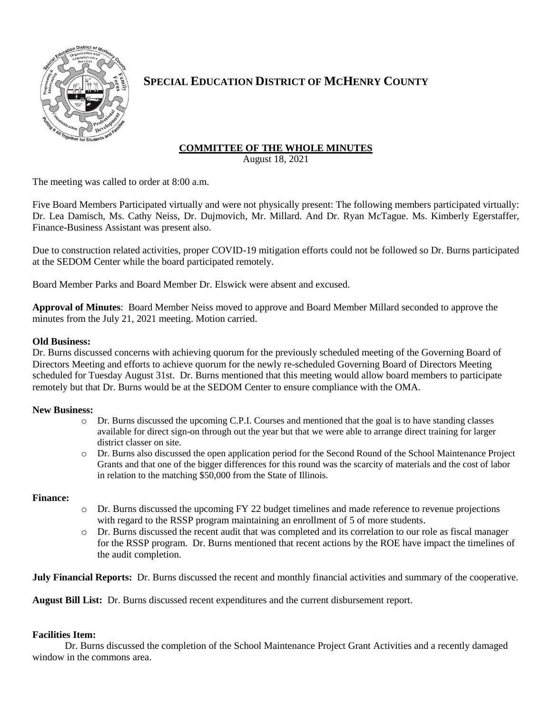

# **SPECIAL EDUCATION DISTRICT OF MCHENRY COUNTY**

## **COMMITTEE OF THE WHOLE MINUTES**

August 18, 2021

The meeting was called to order at 8:00 a.m.

Five Board Members Participated virtually and were not physically present: The following members participated virtually: Dr. Lea Damisch, Ms. Cathy Neiss, Dr. Dujmovich, Mr. Millard. And Dr. Ryan McTague. Ms. Kimberly Egerstaffer, Finance-Business Assistant was present also.

Due to construction related activities, proper COVID-19 mitigation efforts could not be followed so Dr. Burns participated at the SEDOM Center while the board participated remotely.

Board Member Parks and Board Member Dr. Elswick were absent and excused.

**Approval of Minutes**: Board Member Neiss moved to approve and Board Member Millard seconded to approve the minutes from the July 21, 2021 meeting. Motion carried.

### **Old Business:**

Dr. Burns discussed concerns with achieving quorum for the previously scheduled meeting of the Governing Board of Directors Meeting and efforts to achieve quorum for the newly re-scheduled Governing Board of Directors Meeting scheduled for Tuesday August 31st. Dr. Burns mentioned that this meeting would allow board members to participate remotely but that Dr. Burns would be at the SEDOM Center to ensure compliance with the OMA.

#### **New Business:**

- o Dr. Burns discussed the upcoming C.P.I. Courses and mentioned that the goal is to have standing classes available for direct sign-on through out the year but that we were able to arrange direct training for larger district classer on site.
- o Dr. Burns also discussed the open application period for the Second Round of the School Maintenance Project Grants and that one of the bigger differences for this round was the scarcity of materials and the cost of labor in relation to the matching \$50,000 from the State of Illinois.

## **Finance:**

- o Dr. Burns discussed the upcoming FY 22 budget timelines and made reference to revenue projections with regard to the RSSP program maintaining an enrollment of 5 of more students.
- o Dr. Burns discussed the recent audit that was completed and its correlation to our role as fiscal manager for the RSSP program. Dr. Burns mentioned that recent actions by the ROE have impact the timelines of the audit completion.

**July Financial Reports:** Dr. Burns discussed the recent and monthly financial activities and summary of the cooperative.

**August Bill List:** Dr. Burns discussed recent expenditures and the current disbursement report.

## **Facilities Item:**

Dr. Burns discussed the completion of the School Maintenance Project Grant Activities and a recently damaged window in the commons area.